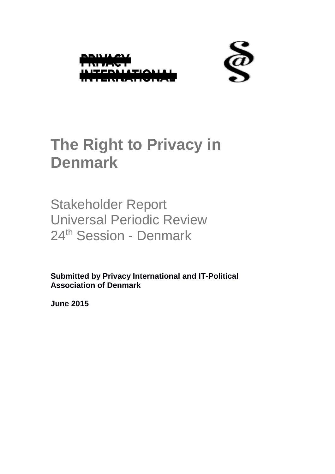



# **The Right to Privacy in Denmark**

Stakeholder Report Universal Periodic Review 24<sup>th</sup> Session - Denmark

**Submitted by Privacy International and IT-Political Association of Denmark**

**June 2015**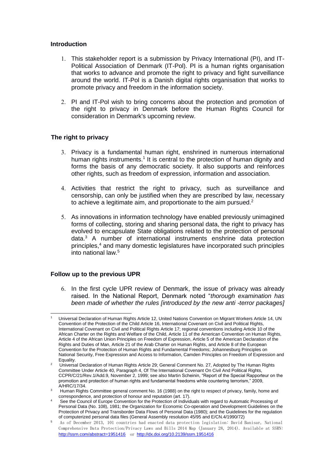# **Introduction**

- This stakeholder report is a submission by Privacy International (PI), and IT-Political Association of Denmark (IT-Pol). PI is a human rights organisation that works to advance and promote the right to privacy and fight surveillance around the world. IT-Pol is a Danish digital rights organisation that works to promote privacy and freedom in the information society.
- PI and IT-Pol wish to bring concerns about the protection and promotion of the right to privacy in Denmark before the Human Rights Council for consideration in Denmark's upcoming review.

# **The right to privacy**

- Privacy is a fundamental human right, enshrined in numerous international human rights instruments.<sup>1</sup> It is central to the protection of human dignity and forms the basis of any democratic society. It also supports and reinforces other rights, such as freedom of expression, information and association.
- Activities that restrict the right to privacy, such as surveillance and censorship, can only be justified when they are prescribed by law, necessary to achieve a legitimate aim, and proportionate to the aim pursued. $2$
- As innovations in information technology have enabled previously unimagined forms of collecting, storing and sharing personal data, the right to privacy has evolved to encapsulate State obligations related to the protection of personal data.<sup>3</sup> A number of international instruments enshrine data protection principles,<sup>4</sup> and many domestic legislatures have incorporated such principles into national law.<sup>5</sup>

# **Follow up to the previous UPR**

6. In the first cycle UPR review of Denmark, the issue of privacy was already raised. In the National Report, Denmark noted "*thorough examination has been made of whether the rules [introduced by the new anti -terror packages]* 

<sup>-</sup><sup>1</sup> Universal Declaration of Human Rights Article 12, United Nations Convention on Migrant Workers Article 14, UN Convention of the Protection of the Child Article 16, International Covenant on Civil and Political Rights, International Covenant on Civil and Political Rights Article 17; regional conventions including Article 10 of the African Charter on the Rights and Welfare of the Child, Article 11 of the American Convention on Human Rights, Article 4 of the African Union Principles on Freedom of Expression, Article 5 of the American Declaration of the Rights and Duties of Man, Article 21 of the Arab Charter on Human Rights, and Article 8 of the European Convention for the Protection of Human Rights and Fundamental Freedoms; Johannesburg Principles on National Security, Free Expression and Access to Information, Camden Principles on Freedom of Expression and Equality.

<sup>&</sup>lt;sup>2</sup> Universal Declaration of Human Rights Article 29; General Comment No. 27, Adopted by The Human Rights Committee Under Article 40, Paragraph 4, Of The International Covenant On Civil And Political Rights, CCPR/C/21/Rev.1/Add.9, November 2, 1999; see also Martin Scheinin, "Report of the Special Rapporteur on the promotion and protection of human rights and fundamental freedoms while countering terrorism," 2009, A/HRC/17/34.

<sup>3</sup> Human Rights Committee general comment No. 16 (1988) on the right to respect of privacy, family, home and correspondence, and protection of honour and reputation (art. 17).

See the Council of Europe Convention for the Protection of Individuals with regard to Automatic Processing of Personal Data (No. 108), 1981; the Organization for Economic Co-operation and Development Guidelines on the Protection of Privacy and Transborder Data Flows of Personal Data (1980); and the Guidelines for the regulation of computerized personal data files (General Assembly resolution 45/95 and E/CN.4/1990/72)

<sup>5</sup> As of December 2013, 101 countries had enacted data protection legislation: David Banisar, National Comprehensive Data Protection/Privacy Laws and Bills 2014 Map (January 28, 2014). Available at SSRN: <http://ssrn.com/abstract=1951416> or <http://dx.doi.org/10.2139/ssrn.1951416>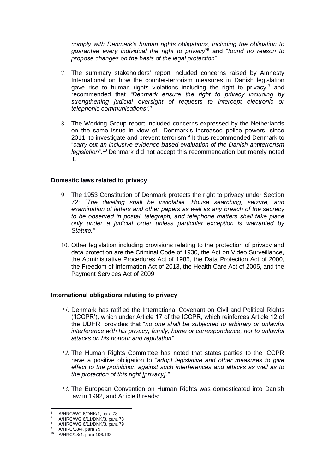*comply with Denmark's human rights obligations, including the obligation to guarantee every individual the right to privacy*" <sup>6</sup> and "*found no reason to propose changes on the basis of the legal protection*".

- The summary stakeholders' report included concerns raised by Amnesty International on how the counter-terrorism measures in Danish legislation gave rise to human rights violations including the right to privacy, $<sup>7</sup>$  and</sup> recommended that *"Denmark ensure the right to privacy including by strengthening judicial oversight of requests to intercept electronic or telephonic communications"*. 8
- The Working Group report included concerns expressed by the Netherlands on the same issue in view of Denmark's increased police powers, since 2011, to investigate and prevent terrorism.<sup>9</sup> It thus recommended Denmark to "*carry out an inclusive evidence-based evaluation of the Danish antiterrorism legislation"*. <sup>10</sup> Denmark did not accept this recommendation but merely noted it.

## **Domestic laws related to privacy**

- The 1953 Constitution of Denmark protects the right to privacy under Section 72: *"The dwelling shall be inviolable. House searching, seizure, and examination of letters and other papers as well as any breach of the secrecy to be observed in postal, telegraph, and telephone matters shall take place only under a judicial order unless particular exception is warranted by Statute."*
- 10. Other legislation including provisions relating to the protection of privacy and data protection are the Criminal Code of 1930, the Act on Video Surveillance, the Administrative Procedures Act of 1985, the Data Protection Act of 2000, the Freedom of Information Act of 2013, the Health Care Act of 2005, and the Payment Services Act of 2009.

# **International obligations relating to privacy**

- 11. Denmark has ratified the International Covenant on Civil and Political Rights ('ICCPR'), which under Article 17 of the ICCPR, which reinforces Article 12 of the UDHR, provides that "*no one shall be subjected to arbitrary or unlawful interference with his privacy, family, home or correspondence, nor to unlawful attacks on his honour and reputation".*
- 12. The Human Rights Committee has noted that states parties to the ICCPR have a positive obligation to *"adopt legislative and other measures to give effect to the prohibition against such interferences and attacks as well as to the protection of this right [privacy]."*
- 13. The European Convention on Human Rights was domesticated into Danish law in 1992, and Article 8 reads:

<sup>-</sup><sup>6</sup> A/HRC/WG.6/DNK/1, para 78

<sup>7</sup> A/HRC/WG.6/11/DNK/3, para 78

<sup>8</sup> A/HRC/WG.6/11/DNK/3, para 79

<sup>&</sup>lt;sup>9</sup> A/HRC/18/4, para 79

<sup>10</sup> A/HRC/18/4, para 106.133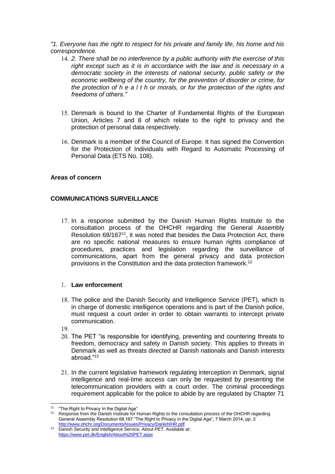*"1. Everyone has the right to respect for his private and family life, his home and his correspondence.* 

- *2. There shall be no interference by a public authority with the exercise of this right except such as it is in accordance with the law and is necessary in a democratic society in the interests of national security, public safety or the economic wellbeing of the country, for the prevention of disorder or crime, for the protection of h e a l t h or morals, or for the protection of the rights and freedoms of others."*
- 15. Denmark is bound to the Charter of Fundamental Rights of the European Union, Articles 7 and 8 of which relate to the right to privacy and the protection of personal data respectively.
- 16. Denmark is a member of the Council of Europe. It has signed the Convention for the Protection of Individuals with Regard to Automatic Processing of Personal Data (ETS No. 108).

## **Areas of concern**

# **COMMUNICATIONS SURVEILLANCE**

17. In a response submitted by the Danish Human Rights Institute to the consultation process of the OHCHR regarding the General Assembly Resolution 68/167<sup>11</sup>, it was noted that besides the Data Protection Act, there are no specific national measures to ensure human rights compliance of procedures, practices and legislation regarding the surveillance of communications, apart from the general privacy and data protection provisions in the Constitution and the data protection framework.<sup>12</sup>

# I. **Law enforcement**

- 18. The police and the Danish Security and Intelligence Service (PET), which is in charge of domestic intelligence operations and is part of the Danish police, must request a court order in order to obtain warrants to intercept private communication.
- 19.
- 20. The PET "is responsible for identifying, preventing and countering threats to freedom, democracy and safety in Danish society. This applies to threats in Denmark as well as threats directed at Danish nationals and Danish interests abroad."<sup>13</sup>
- 21. In the current legislative framework regulating interception in Denmark, signal intelligence and real-time access can only be requested by presenting the telecommunication providers with a court order. The criminal proceedings requirement applicable for the police to abide by are regulated by Chapter 71

 11 "The Right to Privacy In the Digital Age"

<sup>12</sup> Response from the Danish Institute for Human Rights to the consultation process of the OHCHR regarding General Assembly Resolution 68.167 "The Right to Privacy in the Digital Age", 7 March 2014, pp. 3 <http://www.ohchr.org/Documents/Issues/Privacy/DanishIHR.pdf>

<sup>13</sup> Danish Security and Intelligence Service, *About PET.* Available at: <https://www.pet.dk/English/About%20PET.aspx>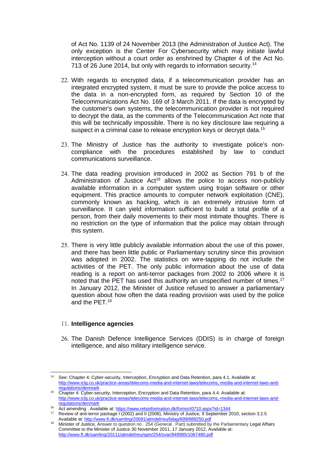of Act No. 1139 of 24 November 2013 (the Administration of Justice Act). The only exception is the Center For Cybersecurity which may initiate lawful interception without a court order as enshrined by Chapter 4 of the Act No. 713 of 26 June 2014, but only with regards to information security.<sup>14</sup>

- 22. With regards to encrypted data, if a telecommunication provider has an integrated encrypted system, it must be sure to provide the police access to the data in a non-encrypted form, as required by Section 10 of the Telecommunications Act No. 169 of 3 March 2011. If the data is encrypted by the customer's own systems, the telecommunication provider is not required to decrypt the data, as the comments of the Telecommunication Act note that this will be technically impossible. There is no key disclosure law requiring a suspect in a criminal case to release encryption keys or decrypt data.<sup>15</sup>
- 23. The Ministry of Justice has the authority to investigate police's noncompliance with the procedures established by law to conduct communications surveillance.
- 24. The data reading provision introduced in 2002 as Section 791 b of the Administration of Justice  $Act^{16}$  allows the police to access non-publicly available information in a computer system using trojan software or other equipment. This practice amounts to computer network exploitation (CNE), commonly known as hacking, which is an extremely intrusive form of surveillance. It can yield information sufficient to build a total profile of a person, from their daily movements to their most intimate thoughts. There is no restriction on the type of information that the police may obtain through this system.
- 25. There is very little publicly available information about the use of this power, and there has been little public or Parliamentary scrutiny since this provision was adopted in 2002. The statistics on wire-tapping do not include the activities of the PET. The only public information about the use of data reading is a report on anti-terror packages from 2002 to 2006 where it is noted that the PET has used this authority an unspecified number of times.<sup>17</sup> In January 2012, the Minister of Justice refused to answer a parliamentary question about how often the data reading provision was used by the police and the PET.<sup>18</sup>

## II. **Intelligence agencies**

26. The Danish Defence Intelligence Services (DDIS) is in charge of foreign intelligence, and also military intelligence service.

<sup>-</sup><sup>14</sup> See: Chapter 4: Cyber-security, Interception, Encryption and Data Retention, para 4.1. Available at: [http://www.iclg.co.uk/practice-areas/telecoms-media-and-internet-laws/telecoms,-media-and-internet-laws-and](http://www.iclg.co.uk/practice-areas/telecoms-media-and-internet-laws/telecoms,-media-and-internet-laws-and-regulations/denmark)[regulations/denmark](http://www.iclg.co.uk/practice-areas/telecoms-media-and-internet-laws/telecoms,-media-and-internet-laws-and-regulations/denmark)

<sup>&</sup>lt;sup>15</sup> Chapter 4: Cyber-security, Interception, Encryption and Data Retention, para 4.4. Available at: [http://www.iclg.co.uk/practice-areas/telecoms-media-and-internet-laws/telecoms,-media-and-internet-laws-and](http://www.iclg.co.uk/practice-areas/telecoms-media-and-internet-laws/telecoms,-media-and-internet-laws-and-regulations/denmark)[regulations/denmark](http://www.iclg.co.uk/practice-areas/telecoms-media-and-internet-laws/telecoms,-media-and-internet-laws-and-regulations/denmark)

<sup>16</sup> Act amending . Available at[: https://www.retsinformation.dk/forms/r0710.aspx?id=1344](https://www.retsinformation.dk/forms/r0710.aspx?id=1344)

<sup>17</sup> Review of anti-terror package I (2002) and II (2006), Ministry of Justice, 9 September 2010, section 3.2.5 Available at:<http://www.ft.dk/samling/20091/almdel/reu/bilag/699/889250.pdf>

<sup>&</sup>lt;sup>18</sup> Minister of Justice, Answer to question no . 254 (General . Part) submitted by the Parliamentary Legal Affairs Committee to the Minister of Justice 30 November 2011, 17 January 2012, Available at: <http://www.ft.dk/samling/20111/almdel/reu/spm/254/svar/849995/1067480.pdf>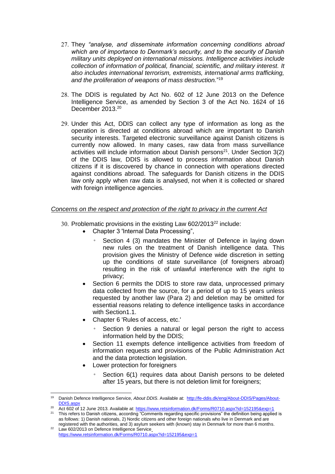- They *"analyse, and disseminate information concerning conditions abroad which are of importance to Denmark's security, and to the security of Danish military units deployed on international missions. Intelligence activities include collection of information of political, financial, scientific, and military interest. It also includes international terrorism, extremists, international arms trafficking, and the proliferation of weapons of mass destruction.*" 19
- The DDIS is regulated by Act No. 602 of 12 June 2013 on the Defence Intelligence Service, as amended by Section 3 of the Act No. 1624 of 16 December 2013.<sup>20</sup>
- 29. Under this Act, DDIS can collect any type of information as long as the operation is directed at conditions abroad which are important to Danish security interests. Targeted electronic surveillance against Danish citizens is currently now allowed. In many cases, raw data from mass surveillance activities will include information about Danish persons<sup>21</sup>. Under Section  $3(2)$ of the DDIS law, DDIS is allowed to process information about Danish citizens if it is discovered by chance in connection with operations directed against conditions abroad. The safeguards for Danish citizens in the DDIS law only apply when raw data is analysed, not when it is collected or shared with foreign intelligence agencies.

## *Concerns on the respect and protection of the right to privacy in the current Act*

- 30. Problematic provisions in the existing Law  $602/2013^{22}$  include:
	- Chapter 3 'Internal Data Processing",
		- Section 4 (3) mandates the Minister of Defence in laying down new rules on the treatment of Danish intelligence data. This provision gives the Ministry of Defence wide discretion in setting up the conditions of state surveillance (of foreigners abroad) resulting in the risk of unlawful interference with the right to privacy;
	- Section 6 permits the DDIS to store raw data, unprocessed primary data collected from the source, for a period of up to 15 years unless requested by another law (Para 2) and deletion may be omitted for essential reasons relating to defence intelligence tasks in accordance with Section1.1.
	- Chapter 6 'Rules of access, etc.'
		- Section 9 denies a natural or legal person the right to access information held by the DDIS;
	- Section 11 exempts defence intelligence activities from freedom of information requests and provisions of the Public Administration Act and the data protection legislation.
	- Lower protection for foreigners
		- Section 6(1) requires data about Danish persons to be deleted after 15 years, but there is not deletion limit for foreigners;

 $19$ <sup>19</sup> Danish Defence Intelligence Service, *About DDIS*. Available at: [http://fe-ddis.dk/eng/About-DDIS/Pages/About-](http://fe-ddis.dk/eng/About-DDIS/Pages/About-DDIS.aspx)DDIS.asp

<sup>&</sup>lt;sup>20</sup> Act 602 of 12 June 2013. Available at:<https://www.retsinformation.dk/Forms/R0710.aspx?id=152195&exp=1>

 $21$  This refers to Danish citizens, according "Comments regarding specific provisions" the definition being applied is as follows: 1) Danish nationals, 2) Nordic citizens and other foreign nationals who live in Denmark and are registered with the authorities, and 3) asylum seekers with (known) stay in Denmark for more than 6 months.

<sup>&</sup>lt;sup>22</sup> Law 602/2013 on Defence Intelligence Service <https://www.retsinformation.dk/Forms/R0710.aspx?id=152195&exp=1>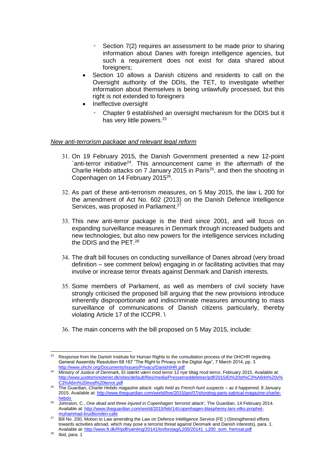- Section 7(2) requires an assessment to be made prior to sharing information about Danes with foreign intelligence agencies, but such a requirement does not exist for data shared about foreigners;
- Section 10 allows a Danish citizens and residents to call on the Oversight authority of the DDIs, the TET, to investigate whether information about themselves is being unlawfully processed, but this right is not extended to foreigners
- Ineffective oversight
	- Chapter 9 established an oversight mechanism for the DDIS but it has very little powers.<sup>23</sup>

## *New anti-terrorism package and relevant legal reform*

- On 19 February 2015, the Danish Government presented a new 12-point `anti-terror initiative<sup>24</sup>. This announcement came in the aftermath of the Charlie Hebdo attacks on 7 January 2015 in Paris<sup>25</sup>, and then the shooting in Copenhagen on 14 February 2015<sup>26</sup>.
- As part of these anti-terrorism measures, on 5 May 2015, the law L 200 for the amendment of Act No. 602 (2013) on the Danish Defence Intelligence Services, was proposed in Parliament.<sup>27</sup>
- This new anti-terror package is the third since 2001, and will focus on expanding surveillance measures in Denmark through increased budgets and new technologies, but also new powers for the intelligence services including the DDIS and the PET.<sup>28</sup>
- The draft bill focuses on conducting surveillance of Danes abroad (very broad definition – see comment below) engaging in or facilitating activities that may involve or increase terror threats against Denmark and Danish interests.
- Some members of Parliament, as well as members of civil society have strongly criticised the proposed bill arguing that the new provisions introduce inherently disproportionate and indiscriminate measures amounting to mass surveillance of communications of Danish citizens particularly, thereby violating Article 17 of the ICCPR. \
- 36. The main concerns with the bill proposed on 5 May 2015, include:

 $23$ Response from the Danish Institute for Human Rights to the consultation process of the OHCHR regarding General Assembly Resolution 68.167 "The Right to Privacy in the Digital Age", 7 March 2014, pp. 3 <http://www.ohchr.org/Documents/Issues/Privacy/DanishIHR.pdf>

<sup>24</sup> Ministry of Justice of Denmark, Et stærkt værn mod terror 12 nye tiltag mod terror, February 2015. Available at: [http://www.justitsministeriet.dk/sites/default/files/media/Pressemeddelelser/pdf/2015/Et%20st%C3%A6rkt%20v%](http://www.justitsministeriet.dk/sites/default/files/media/Pressemeddelelser/pdf/2015/Et%20stærkt%20værn%20mod%20terror.pdf) [C3%A6rn%20mod%20terror.pdf](http://www.justitsministeriet.dk/sites/default/files/media/Pressemeddelelser/pdf/2015/Et%20stærkt%20værn%20mod%20terror.pdf)

<sup>25</sup> The Guardian, *Charlie Hebdo magazine attack: vigils held as French hunt suspects – as it happened,* 8 January 2015, Available at[: http://www.theguardian.com/world/live/2015/jan/07/shooting-paris-satirical-magazine-charlie](http://www.theguardian.com/world/live/2015/jan/07/shooting-paris-satirical-magazine-charlie-hebdo)[hebdo](http://www.theguardian.com/world/live/2015/jan/07/shooting-paris-satirical-magazine-charlie-hebdo)

<sup>&</sup>lt;sup>26</sup> Johnston, C., *One dead and three injured in Copenhagen 'terrorist attack'*, The Guardian, 14 February 2014. Available at: [http://www.theguardian.com/world/2015/feb/14/copenhagen-blasphemy-lars-vilks-prophet](http://www.theguardian.com/world/2015/feb/14/copenhagen-blasphemy-lars-vilks-prophet-muhammad-krudttonden-cafe)[muhammad-krudttonden-cafe](http://www.theguardian.com/world/2015/feb/14/copenhagen-blasphemy-lars-vilks-prophet-muhammad-krudttonden-cafe)

<sup>&</sup>lt;sup>27</sup> Bill No. 200, Motion to Law amending the Law on Defence Intelligence Service (FE) (Strengthened efforts towards activities abroad, which may pose a terrorist threat against Denmark and Danish interests), para. 1. Available at: [http://www.ft.dk/RIpdf/samling/20141/lovforslag/L200/20141\\_L200\\_som\\_fremsat.pdf](http://www.ft.dk/RIpdf/samling/20141/lovforslag/L200/20141_L200_som_fremsat.pdf)

<sup>28</sup> Ibid, para. 1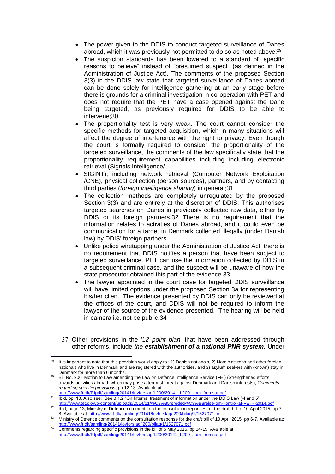- The power given to the DDIS to conduct targeted surveillance of Danes abroad, which it was previously not permitted to do so as noted above:<sup>29</sup>
- The suspicion standards has been lowered to a standard of "specific reasons to believe" instead of "presumed suspect" (as defined in the Administration of Justice Act), The comments of the proposed Section 3(3) in the DDIS law state that targeted surveillance of Danes abroad can be done solely for intelligence gathering at an early stage before there is grounds for a criminal investigation in co-operation with PET and does not require that the PET have a case opened against the Dane being targeted, as previously required for DDIS to be able to intervene;30
- The proportionality test is very weak. The court cannot consider the specific methods for targeted acquisition, which in many situations will affect the degree of interference with the right to privacy. Even though the court is formally required to consider the proportionality of the targeted surveillance, the comments of the law specifically state that the proportionality requirement capabilities including including electronic retrieval (Signals Intelligence/
- SIGINT), including network retrieval (Computer Network Exploitation /CNE), physical collection (person sources), partners, and by contacting third parties (*foreign intelligence sharing*) in general;31
- The collection methods are completely unregulated by the proposed Section 3(3) and are entirely at the discretion of DDIS. This authorises targeted searches on Danes in previously collected raw data, either by DDIS or its foreign partners.32 There is no requirement that the information relates to activities of Danes abroad, and it could even be communication for a target in Denmark collected illegally (under Danish law) by DDIS' foreign partners.
- Unlike police wiretapping under the Administration of Justice Act, there is no requirement that DDIS notifies a person that have been subject to targeted surveillance. PET can use the information collected by DDIS in a subsequent criminal case, and the suspect will be unaware of how the state prosecutor obtained this part of the evidence.33
- The lawyer appointed in the court case for targeted DDIS surveillance will have limited options under the proposed Section 3a for representing his/her client. The evidence presented by DDIS can only be reviewed at the offices of the court, and DDIS will not be required to inform the lawyer of the source of the evidence presented. The hearing will be held in camera i.e. not be public.34
- Other provisions in the '1*2 point plan*' that have been addressed through other reforms, include *the establishment of a national PNR system.* Under

-

<sup>&</sup>lt;sup>29</sup> It is important to note that this provision would apply to : 1) Danish nationals, 2) Nordic citizens and other foreign nationals who live in Denmark and are registered with the authorities, and 3) asylum seekers with (known) stay in Denmark for more than 6 months.

<sup>30</sup> Bill No. 200, Motion to Law amending the Law on Defence Intelligence Service (FE ) (Strengthened efforts towards activities abroad, which may pose a terrorist threat against Denmark and Danish interests), *Comments regarding specific provisions*, pp 12-13. Available at: http://www.ft.dk/RIpdf/samling/20141/lovforslag/L200/20141\_L200\_som\_fremsat.pd

<sup>&</sup>lt;sup>31</sup> Ibid, pp. 13. Also see: See 3.1.2 "On Internal treatment of information under the DDIS Law §4 and 5" [http://www.tet.dk/wp-content/uploads/2014/11/%C3%85rsredeg%C3%B8relse-om-kontrol-af-PET-i-2014.pdf](http://www.tet.dk/wp-content/uploads/2014/11/Årsredegørelse-om-kontrol-af-PET-i-2014.pdf)

<sup>32</sup> Ibid, page 13; Ministry of Defence comments on the consultation reponses for the draft bill of 10 April 2015, pp 7- 8. Available at:<http://www.ft.dk/samling/20141/lovforslag/l200/bilag/1/1527071.pdf>

<sup>33</sup> Ministry of Defence comments on the consultation response for the draft bill of 10 April 2015, pp 6-7. Available at: <http://www.ft.dk/samling/20141/lovforslag/l200/bilag/1/1527071.pdf>

Comments regarding specific provisions in the bill of 5 May 2015, pp 14-15. Available at: [http://www.ft.dk/RIpdf/samling/20141/lovforslag/L200/20141\\_L200\\_som\\_fremsat.pdf](http://www.ft.dk/RIpdf/samling/20141/lovforslag/L200/20141_L200_som_fremsat.pdf)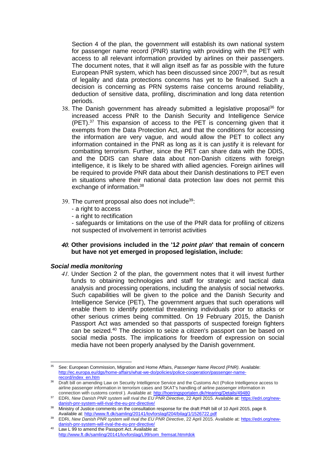Section 4 of the plan, the government will establish its own national system for passenger name record (PNR) starting with providing with the PET with access to all relevant information provided by airlines on their passengers. The document notes, that it will align itself as far as possible with the future European PNR system, which has been discussed since 2007<sup>35</sup>, but as result of legality and data protections concerns has yet to be finalised. Such a decision is concerning as PRN systems raise concerns around reliability, deduction of sensitive data, profiling, discrimination and long data retention periods.

- $38.$  The Danish government has already submitted a legislative proposal<sup>36</sup> for increased access PNR to the Danish Security and Intelligence Service  $(PET)$ .<sup>37</sup> This expansion of access to the PET is concerning given that it exempts from the Data Protection Act, and that the conditions for accessing the information are very vague, and would allow the PET to collect any information contained in the PNR as long as it is can justify it is relevant for combatting terrorism. Further, since the PET can share data with the DDIS, and the DDIS can share data about non-Danish citizens with foreign intelligence, it is likely to be shared with allied agencies. Foreign airlines will be required to provide PNR data about their Danish destinations to PET even in situations where their national data protection law does not permit this exchange of information.<sup>38</sup>
- 39. The current proposal also does not include<sup>39</sup>:
	- a right to access
	- a right to rectification

- safeguards or limitations on the use of the PNR data for profiling of citizens not suspected of involvement in terrorist activities

## **Other provisions included in the '1***2 point plan***' that remain of concern but have not yet emerged in proposed legislation, include:**

#### *Social media monitoring*

41. Under Section 2 of the plan, the government notes that it will invest further funds to obtaining technologies and staff for strategic and tactical data analysis and processing operations, including the analysis of social networks. Such capabilities will be given to the police and the Danish Security and Intelligence Service (PET), The government argues that such operations will enable them to identify potential threatening individuals prior to attacks or other serious crimes being committed. On 19 February 2015, the Danish Passport Act was amended so that passports of suspected foreign fighters can be seized.<sup>40</sup> The decision to seize a citizen's passport can be based on social media posts. The implications for freedom of expression on social media have not been properly analysed by the Danish government.

<sup>-</sup><sup>35</sup> See: European Commission, Migration and Home Affairs, *Passenger Name Record (PNR)*. Available: [http://ec.europa.eu/dgs/home-affairs/what-we-do/policies/police-cooperation/passenger-name](http://ec.europa.eu/dgs/home-affairs/what-we-do/policies/police-cooperation/passenger-name-record/index_en.htm)[record/index\\_en.htm](http://ec.europa.eu/dgs/home-affairs/what-we-do/policies/police-cooperation/passenger-name-record/index_en.htm)

<sup>36</sup> Draft bill on amending Law on Security Intelligence Service and the Customs Act (Police Intelligence access to airline passenger information in terrorism cases and SKAT's handling of airline passenger information in connection with customs control ). Available at[: http://hoeringsportalen.dk/Hearing/Details/49480](http://hoeringsportalen.dk/Hearing/Details/49480)

<sup>37</sup> EDRi, *New Danish PNR system will rival the EU PNR Directive*, 22 April 2015. Available at[: https://edri.org/new](https://edri.org/new-danish-pnr-system-will-rival-the-eu-pnr-directive/)[danish-pnr-system-will-rival-the-eu-pnr-directive/](https://edri.org/new-danish-pnr-system-will-rival-the-eu-pnr-directive/)

<sup>38</sup> Ministry of Justice comments on the consultation response for the draft PNR bill of 10 April 2015, page 8. Available at:<http://www.ft.dk/samling/20141/lovforslag/l204/bilag/1/1526722.pdf>

<sup>&</sup>lt;sup>39</sup> EDRi, *New Danish PNR system will rival the EU PNR Directive*, 22 April 2015. Available at[: https://edri.org/new](https://edri.org/new-danish-pnr-system-will-rival-the-eu-pnr-directive/)[danish-pnr-system-will-rival-the-eu-pnr-directive/](https://edri.org/new-danish-pnr-system-will-rival-the-eu-pnr-directive/)

<sup>40</sup> Law L 99 to amend the Passport Act. Available at: [http://www.ft.dk/samling/20141/lovforslag/L99/som\\_fremsat.htm#dok](http://www.ft.dk/samling/20141/lovforslag/L99/som_fremsat.htm#dok)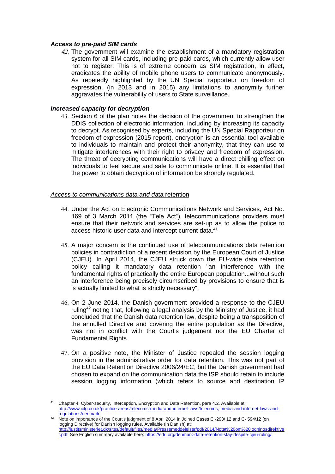## *Access to pre-paid SIM cards*

42. The government will examine the establishment of a mandatory registration system for all SIM cards, including pre-paid cards, which currently allow user not to register. This is of extreme concern as SIM registration, in effect, eradicates the ability of mobile phone users to communicate anonymously. As repetedly highlighted by the UN Special rapporteur on freedom of expression, (in 2013 and in 2015) any limitations to anonymity further aggravates the vulnerability of users to State surveillance.

## *Increased capacity for decryption*

-

 Section 6 of the plan notes the decision of the government to strengthen the DDIS collection of electronic information, including by increasing its capacity to decrypt. As recognised by experts, including the UN Special Rapporteur on freedom of expression (2015 report), encryption is an essential tool available to individuals to maintain and protect their anonymity, that they can use to mitigate interferences with their right to privacy and freedom of expression. The threat of decrypting communications will have a direct chilling effect on individuals to feel secure and safe to communicate online. It is essential that the power to obtain decryption of information be strongly regulated.

## *Access to communications data and d*ata retention

- Under the Act on Electronic Communications Network and Services, Act No. 169 of 3 March 2011 (the "Tele Act"), telecommunications providers must ensure that their network and services are set-up as to allow the police to access historic user data and intercept current data.<sup>41</sup>
- A major concern is the continued use of telecommunications data retention policies in contradiction of a recent decision by the European Court of Justice (CJEU). In April 2014, the CJEU struck down the EU-wide data retention policy calling it mandatory data retention "an interference with the fundamental rights of practically the entire European population...without such an interference being precisely circumscribed by provisions to ensure that is is actually limited to what is strictly necessary".
- On 2 June 2014, the Danish government provided a response to the CJEU ruling<sup>42</sup> noting that, following a legal analysis by the Ministry of Justice, it had concluded that the Danish data retention law, despite being a transposition of the annulled Directive and covering the entire population as the Directive, was not in conflict with the Court's judgement nor the EU Charter of Fundamental Rights.
- 47. On a positive note, the Minister of Justice repealed the session logging provision in the administrative order for data retention. This was not part of the EU Data Retention Directive 2006/24/EC, but the Danish government had chosen to expand on the communication data the ISP should retain to include session logging information (which refers to source and destination IP

<sup>41</sup> Chapter 4: Cyber-security, Interception, Encryption and Data Retention, para 4.2. Available at: [http://www.iclg.co.uk/practice-areas/telecoms-media-and-internet-laws/telecoms,-media-and-internet-laws-and](http://www.iclg.co.uk/practice-areas/telecoms-media-and-internet-laws/telecoms,-media-and-internet-laws-and-regulations/denmark)[regulations/denmark](http://www.iclg.co.uk/practice-areas/telecoms-media-and-internet-laws/telecoms,-media-and-internet-laws-and-regulations/denmark)

<sup>42</sup> Note on importance of the Court's judgment of 8 April 2014 in Joined Cases C -293/ 12 and C- 594/12 (on logging Directive) for Danish logging rules. Available (in Danish) at: [http://justitsministeriet.dk/sites/default/files/media/Pressemeddelelser/pdf/2014/Notat%20om%20logningsdirektive](http://justitsministeriet.dk/sites/default/files/media/Pressemeddelelser/pdf/2014/Notat%20om%20logningsdirektivet.pdf) [t.pdf.](http://justitsministeriet.dk/sites/default/files/media/Pressemeddelelser/pdf/2014/Notat%20om%20logningsdirektivet.pdf) See English summary available here: <https://edri.org/denmark-data-retention-stay-despite-cjeu-ruling/>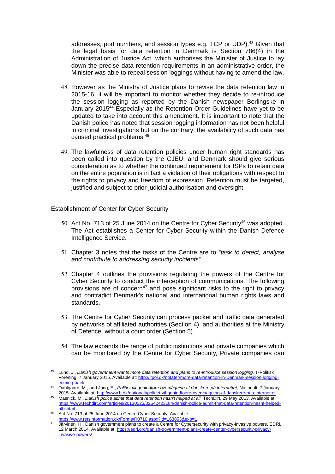addresses, port numbers, and session types e.g. TCP or UDP).<sup>43</sup> Given that the legal basis for data retention in Denmark is Section 786(4) in the Administration of Justice Act, which authorises the Minister of Justice to lay down the precise data retention requirements in an administrative order, the Minister was able to repeal session loggings without having to amend the law.

- 48. However as the Ministry of Justice plans to revise the data retention law in 2015-16, it will be important to monitor whether they decide to re-introduce the session logging as reported by the Danish newspaper Berlingske in January 2015<sup>44</sup> Especially as the Retention Order Guidelines have yet to be updated to take into account this amendment. It is important to note that the Danish police has noted that session logging information has not been helpful in criminal investigations but on the contrary, the availability of such data has caused practical problems.<sup>45</sup>
- The lawfulness of data retention policies under human right standards has been called into question by the CJEU, and Denmark should give serious consideration as to whether the continued requirement for ISPs to retain data on the entire population is in fact a violation of their obligations with respect to the rights to privacy and freedom of expression. Retention must be targeted, justified and subject to prior judicial authorisation and oversight.

## Establishment of Center for Cyber Security

- 50. Act No. 713 of 25 June 2014 on the Centre for Cyber Security<sup>46</sup> was adopted. The Act establishes a Center for Cyber Security within the Danish Defence Intelligence Service.
- Chapter 3 notes that the tasks of the Centre are to *"task to detect, analyse and contribute to addressing security incidents"*.
- 52. Chapter 4 outlines the provisions regulating the powers of the Centre for Cyber Security to conduct the interception of communications. The following provisions are of concern<sup>47</sup> and pose significant risks to the right to privacy and contradict Denmark's national and international human rights laws and standards.
- 53. The Centre for Cyber Security can process packet and traffic data generated by networks of affiliated authorities (Section 4), and authorities at the Ministry of Defence, without a court order (Section 5).
- The law expands the range of public institutions and private companies which can be monitored by the Centre for Cyber Security, Private companies can

<sup>-</sup><sup>43</sup> Lund, J., *Danish government wants more data retention and plans to re-introduce session logging,* T-Politisk Forening, 7 January 2015. Available at[: http://itpol.dk/notater/more-data-retention-in-Denmark-session-logging](http://itpol.dk/notater/more-data-retention-in-Denmark-session-logging-coming-back)[coming-back](http://itpol.dk/notater/more-data-retention-in-Denmark-session-logging-coming-back)

<sup>44</sup> Dahlgaard, M., and Jung, E., *Politiet vil genindføre overvågning af danskere på internettet*, Nationalt, 7 January 2015. Available at[: http://www.b.dk/nationalt/politiet-vil-genindfoere-overvaagning-af-danskere-paa-internettet](http://www.b.dk/nationalt/politiet-vil-genindfoere-overvaagning-af-danskere-paa-internettet)

<sup>45</sup> Masnick, M., *Danish police admit that data retention hasn't helped at all,* TechDirt, 29 May 2013. Available at: [https://www.techdirt.com/articles/20130523/02542423184/danish-police-admit-that-data-retention-hasnt-helped](https://www.techdirt.com/articles/20130523/02542423184/danish-police-admit-that-data-retention-hasnt-helped-all.shtml)[all.shtml](https://www.techdirt.com/articles/20130523/02542423184/danish-police-admit-that-data-retention-hasnt-helped-all.shtml)

<sup>46</sup> Act No. 713 of 25 June 2014 on Centre Cyber Security, Available: <https://www.retsinformation.dk/Forms/R0710.aspx?id=163853&exp=1>

<sup>47</sup> Järvinen, H., Danish government plans to create a Centre for Cybersecurity with privacy-invasive powers, EDRi, 12 March 2014. Available at: [https://edri.org/danish-government-plans-create-center-cybersecurity-privacy](https://edri.org/danish-government-plans-create-center-cybersecurity-privacy-invasive-powers/)[invasive-powers/](https://edri.org/danish-government-plans-create-center-cybersecurity-privacy-invasive-powers/)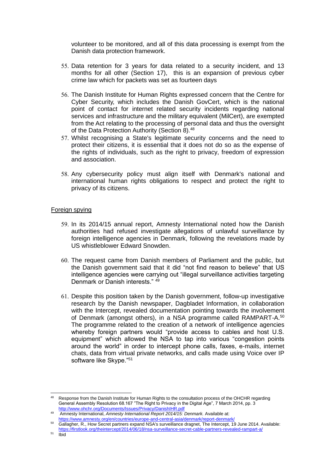volunteer to be monitored, and all of this data processing is exempt from the Danish data protection framework.

- 55. Data retention for 3 years for data related to a security incident, and 13 months for all other (Section 17), this is an expansion of previous cyber crime law which for packets was set as fourteen days
- 56. The Danish Institute for Human Rights expressed concern that the Centre for Cyber Security, which includes the Danish GovCert, which is the national point of contact for internet related security incidents regarding national services and infrastructure and the military equivalent (MilCert), are exempted from the Act relating to the processing of personal data and thus the oversight of the Data Protection Authority (Section 8).<sup>48</sup>
- Whilst recognising a State's legitimate security concerns and the need to protect their citizens, it is essential that it does not do so as the expense of the rights of individuals, such as the right to privacy, freedom of expression and association.
- 58. Any cybersecurity policy must align itself with Denmark's national and international human rights obligations to respect and protect the right to privacy of its citizens.

#### Foreign spying

- 59. In its 2014/15 annual report, Amnesty International noted how the Danish authorities had refused investigate allegations of unlawful surveillance by foreign intelligence agencies in Denmark, following the revelations made by US whistleblower Edward Snowden.
- The request came from Danish members of Parliament and the public, but the Danish government said that it did "not find reason to believe" that US intelligence agencies were carrying out "illegal surveillance activities targeting Denmark or Danish interests." <sup>49</sup>
- 61. Despite this position taken by the Danish government, follow-up investigative research by the Danish newspaper, Dagbladet Information, in collaboration with the Intercept, revealed documentation pointing towards the involvement of Denmark (amongst others), in a NSA programme called RAMPART-A.<sup>50</sup> The programme related to the creation of a network of intelligence agencies whereby foreign partners would "provide access to cables and host U.S. equipment" which allowed the NSA to tap into various "congestion points around the world" in order to intercept phone calls, faxes, e-mails, internet chats, data from virtual private networks, and calls made using Voice over IP software like Skype."<sup>51</sup>

<sup>50</sup> Gallagher, R., How Secret partners expand NSA's surveillance dragnet, The Intercept, 19 June 2014. Available:

<sup>48</sup> Response from the Danish Institute for Human Rights to the consultation process of the OHCHR regarding General Assembly Resolution 68.167 "The Right to Privacy in the Digital Age", 7 March 2014, pp. 3 <http://www.ohchr.org/Documents/Issues/Privacy/DanishIHR.pdf>

<sup>49</sup> Amnesty International, *Amnesty International Report 2014/15: Denmark.* Available at: <https://www.amnesty.org/en/countries/europe-and-central-asia/denmark/report-denmark/>

<https://firstlook.org/theintercept/2014/06/18/nsa-surveillance-secret-cable-partners-revealed-rampart-a/>  $51$  lhid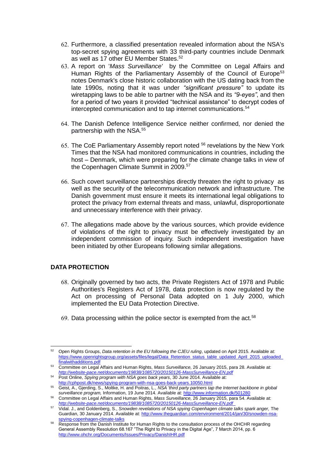- Furthermore, a classified presentation revealed information about the NSA's top-secret spying agreements with 33 third-party countries include Denmark as well as 17 other EU Member States.<sup>52</sup>
- A report on '*Mass Surveillance'* by the Committee on Legal Affairs and Human Rights of the Parliamentary Assembly of the Council of Europe<sup>53</sup> notes Denmark's close historic collaboration with the US dating back from the late 1990s, noting that it was under *"significant pressure"* to update its wiretapping laws to be able to partner with the NSA and its *"9-eyes"*, and then for a period of two years it provided "technical assistance" to decrypt codes of intercepted communication and to tap internet communications.<sup>54</sup>
- The Danish Defence Intelligence Service neither confirmed, nor denied the partnership with the NSA.<sup>55</sup>
- 65. The CoE Parliamentary Assembly report noted  $56$  revelations by the New York Times that the NSA had monitored communications in countries, including the host – Denmark, which were preparing for the climate change talks in view of the Copenhagen Climate Summit in 2009.<sup>57</sup>
- 66. Such covert surveillance partnerships directly threaten the right to privacy as well as the security of the telecommunication network and infrastructure. The Danish government must ensure it meets its international legal obligations to protect the privacy from external threats and mass, unlawful, disproportionate and unnecessary interference with their privacy.
- The allegations made above by the various sources, which provide evidence of violations of the right to privacy must be effectively investigated by an independent commission of inquiry. Such independent investigation have been initiated by other Europeans following similar allegations.

# **DATA PROTECTION**

- 68. Originally governed by two acts, the Private Registers Act of 1978 and Public Authorities's Registers Act of 1978, data protection is now regulated by the Act on processing of Personal Data adopted on 1 July 2000, which implemented the EU Data Protection Directive.
- $69.$  Data processing within the police sector is exempted from the act.<sup>58</sup>

<sup>52</sup> <sup>52</sup> Open Rights Groups, *Data retention in the EU following the CJEU ruling*, updated on April 2015. Available at: https://www.openrightsgroup.org/assets/files/legal/Data\_Retention\_status\_table\_updated\_April\_2015\_uploaded [finalwithadditions.pdf](https://www.openrightsgroup.org/assets/files/legal/Data_Retention_status_table_updated_April_2015_uploaded_finalwithadditions.pdf)

<sup>53</sup> Committee on Legal Affairs and Human Rights, *Mass Surveillance,* 26 January 2015, para 28. Available at: http://website-pace.net/documents/19838/1085720/20150126-MassSurveillar

<sup>54</sup> Post Online, *Spying program with NSA goes back years*, 30 June 2014. Available at: <http://cphpost.dk/news/spying-program-with-nsa-goes-back-years.10050.html>

<sup>55</sup> Geist, A., Gjerding, S., Moltke, H. and Poitras, L., *NSA 'third party partners tap the Internet backbone in global surveillance program,* Information, 19 June 2014. Available at: <http://www.information.dk/501280>

<sup>56</sup> Committee on Legal Affairs and Human Rights, *Mass Surveillance,* 26 January 2015, para 54. Available at: *<http://website-pace.net/documents/19838/1085720/20150126-MassSurveillance-EN.pdf>*

<sup>57</sup> Vidal. J., and Goldenberg, S., *Snowden revelations of NSA spying Copenhagen climate talks spark anger,* The Guardian, 30 January 2014. Available at: [http://www.theguardian.com/environment/2014/jan/30/snowden-nsa](http://www.theguardian.com/environment/2014/jan/30/snowden-nsa-spying-copenhagen-climate-talks)[spying-copenhagen-climate-talks](http://www.theguardian.com/environment/2014/jan/30/snowden-nsa-spying-copenhagen-climate-talks)

<sup>58</sup> Response from the Danish Institute for Human Rights to the consultation process of the OHCHR regarding General Assembly Resolution 68.167 "The Right to Privacy in the Digital Age", 7 March 2014, pp. 6 <http://www.ohchr.org/Documents/Issues/Privacy/DanishIHR.pdf>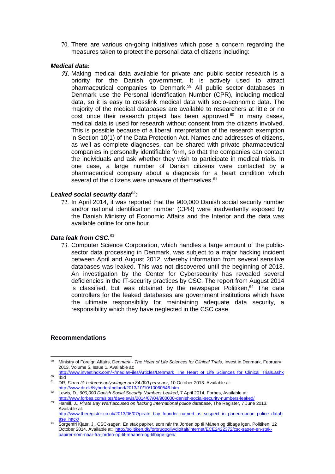There are various on-going initiatives which pose a concern regarding the measures taken to protect the personal data of citizens including:

## *Medical data***:**

71. Making medical data available for private and public sector research is a priority for the Danish government. It is actively used to attract pharmaceutical companies to Denmark.<sup>59</sup> All public sector databases in Denmark use the Personal Identification Number (CPR), including medical data, so it is easy to crosslink medical data with socio-economic data. The majority of the medical databases are available to researchers at little or no cost once their research project has been approved. $60$  In many cases, medical data is used for research without consent from the citizens involved. This is possible because of a liberal interpretation of the research exemption in Section 10(1) of the Data Protection Act. Names and addresses of citizens, as well as complete diagnoses, can be shared with private pharmaceutical companies in personally identifiable form, so that the companies can contact the individuals and ask whether they wish to participate in medical trials. In one case, a large number of Danish citizens were contacted by a pharmaceutical company about a diagnosis for a heart condition which several of the citizens were unaware of themselves.<sup>61</sup>

## *Leaked social security data<sup>62</sup>:*

72. In April 2014, it was reported that the 900,000 Danish social security number and/or national identification number (CPR) were inadvertently exposed by the Danish Ministry of Economic Affairs and the Interior and the data was available online for one hour.

# *Data leak from CSC.<sup>63</sup>*

 Computer Science Corporation, which handles a large amount of the publicsector data processing in Denmark, was subject to a major hacking incident between April and August 2012, whereby information from several sensitive databases was leaked. This was not discovered until the beginning of 2013. An investigation by the Center for Cybersecurity has revealed several deficiencies in the IT-security practices by CSC. The report from August 2014 is classified, but was obtained by the newspaper Politiken, $64$  The data controllers for the leaked databases are government institutions which have the ultimate responsibility for maintaining adequate data security, a responsibility which they have neglected in the CSC case.

# **Recommendations**

-

<sup>59</sup> Ministry of Foreign Affairs, D*enmark - The Heart of Life Sciences for Clinical Trials*, Invest in Denmark, February 2013, Volume 5, Issue 1. Available at:

[http://www.investindk.com/~/media/Files/Articles/Denmark\\_The\\_Heart\\_of\\_Life\\_Sciences\\_for\\_Clinical\\_Trials.ashx](http://www.investindk.com/~/media/Files/Articles/Denmark_The_Heart_of_Life_Sciences_for_Clinical_Trials.ashx) <sup>60</sup> Ibid

<sup>61</sup> DR, *Firma fik helbredsoplysninger om 84.000 personer,* 10 October 2013. Available at: <http://www.dr.dk/Nyheder/Indland/2013/10/10/10060546.htm>

<sup>62</sup> Lewis, D., *900,000 Danish Social Security Numbers Leaked*, 7 April 2014, Forbes, Available at: <http://www.forbes.com/sites/davelewis/2014/07/04/900000-danish-social-security-numbers-leaked/>

<sup>63</sup> Hamill, J., *Pirate Bay Warf accused on hacking international police database*, The Register, 7 June 2013. Available at:

[http://www.theregister.co.uk/2013/06/07/pirate\\_bay\\_founder\\_named\\_as\\_suspect\\_in\\_paneuropean\\_police\\_datab](http://www.theregister.co.uk/2013/06/07/pirate_bay_founder_named_as_suspect_in_paneuropean_police_database_hack/) [ase\\_hack/](http://www.theregister.co.uk/2013/06/07/pirate_bay_founder_named_as_suspect_in_paneuropean_police_database_hack/)

<sup>&</sup>lt;sup>64</sup> Sorgenfri Kjaer, J., CSC-sagen: En stak papirer, som når fra Jorden op til Månen og tilbage igen, Politiken, 12 October 2014. Available at: [http://politiken.dk/forbrugogliv/digitalt/internet/ECE2422372/csc-sagen-en-stak](http://politiken.dk/forbrugogliv/digitalt/internet/ECE2422372/csc-sagen-en-stak-papirer-som-naar-fra-jorden-op-til-maanen-og-tilbage-igen/)[papirer-som-naar-fra-jorden-op-til-maanen-og-tilbage-igen/](http://politiken.dk/forbrugogliv/digitalt/internet/ECE2422372/csc-sagen-en-stak-papirer-som-naar-fra-jorden-op-til-maanen-og-tilbage-igen/)